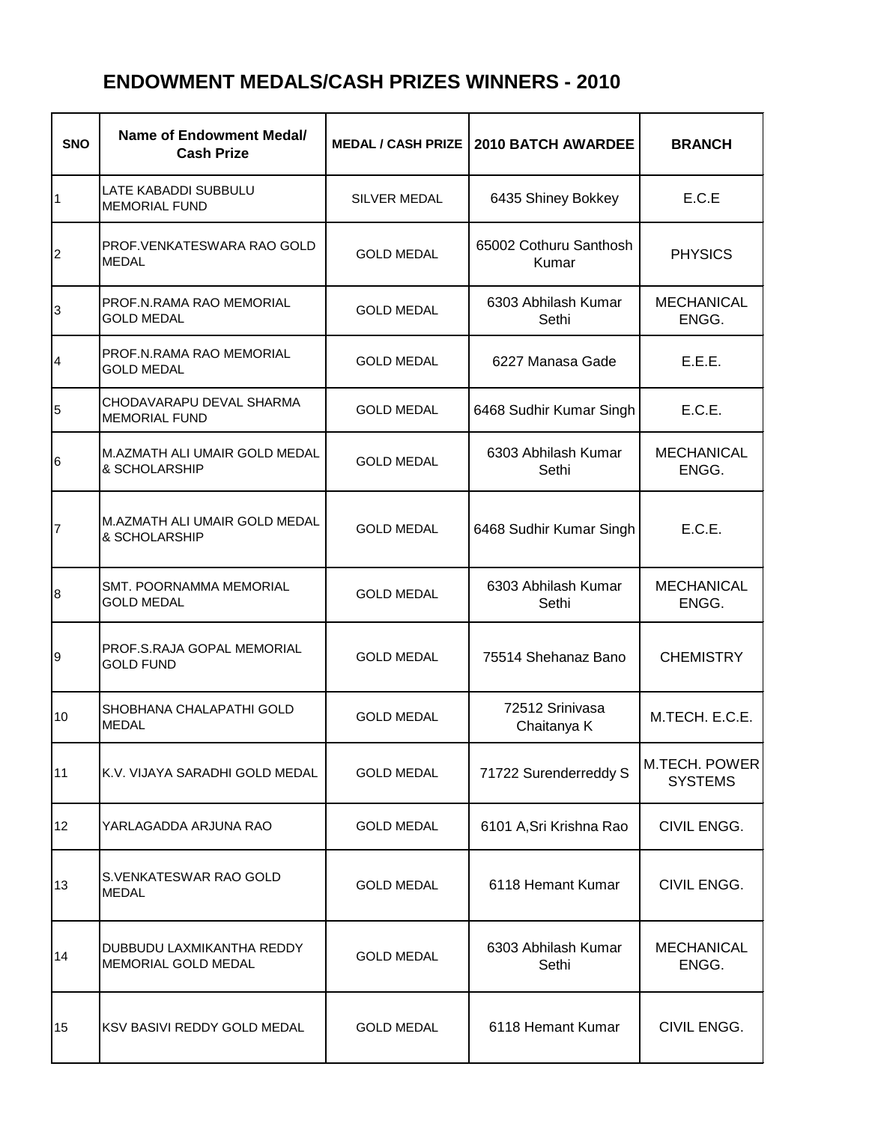## **ENDOWMENT MEDALS/CASH PRIZES WINNERS - 2010**

| <b>SNO</b>      | Name of Endowment Medal/<br><b>Cash Prize</b>       | <b>MEDAL / CASH PRIZE  </b> | 2010 BATCH AWARDEE              | <b>BRANCH</b>                          |
|-----------------|-----------------------------------------------------|-----------------------------|---------------------------------|----------------------------------------|
| 1               | <b>LATE KABADDI SUBBULU</b><br><b>MEMORIAL FUND</b> | <b>SILVER MEDAL</b>         | 6435 Shiney Bokkey              | E.C.E                                  |
| 2               | PROF. VENKATESWARA RAO GOLD<br><b>MEDAL</b>         | <b>GOLD MEDAL</b>           | 65002 Cothuru Santhosh<br>Kumar | <b>PHYSICS</b>                         |
| 3               | PROF.N.RAMA RAO MEMORIAL<br><b>GOLD MEDAL</b>       | <b>GOLD MEDAL</b>           | 6303 Abhilash Kumar<br>Sethi    | <b>MECHANICAL</b><br>ENGG.             |
| 4               | PROF.N.RAMA RAO MEMORIAL<br><b>GOLD MEDAL</b>       | <b>GOLD MEDAL</b>           | 6227 Manasa Gade                | E.E.E.                                 |
| 5               | CHODAVARAPU DEVAL SHARMA<br><b>MEMORIAL FUND</b>    | <b>GOLD MEDAL</b>           | 6468 Sudhir Kumar Singh         | E.C.E.                                 |
| 6               | M.AZMATH ALI UMAIR GOLD MEDAL<br>& SCHOLARSHIP      | <b>GOLD MEDAL</b>           | 6303 Abhilash Kumar<br>Sethi    | <b>MECHANICAL</b><br>ENGG.             |
| $\overline{7}$  | M.AZMATH ALI UMAIR GOLD MEDAL<br>& SCHOLARSHIP      | <b>GOLD MEDAL</b>           | 6468 Sudhir Kumar Singh         | E.C.E.                                 |
| 8               | <b>SMT. POORNAMMA MEMORIAL</b><br><b>GOLD MEDAL</b> | <b>GOLD MEDAL</b>           | 6303 Abhilash Kumar<br>Sethi    | <b>MECHANICAL</b><br>ENGG.             |
| 9               | PROF.S.RAJA GOPAL MEMORIAL<br><b>GOLD FUND</b>      | <b>GOLD MEDAL</b>           | 75514 Shehanaz Bano             | <b>CHEMISTRY</b>                       |
| 10              | SHOBHANA CHALAPATHI GOLD<br><b>MEDAL</b>            | <b>GOLD MEDAL</b>           | 72512 Srinivasa<br>Chaitanya K  | M.TECH. E.C.E.                         |
| 11              | K.V. VIJAYA SARADHI GOLD MEDAL                      | <b>GOLD MEDAL</b>           | 71722 Surenderreddy S           | <b>M.TECH. POWER</b><br><b>SYSTEMS</b> |
| 12 <sup>°</sup> | YARLAGADDA ARJUNA RAO                               | <b>GOLD MEDAL</b>           | 6101 A, Sri Krishna Rao         | CIVIL ENGG.                            |
| 13              | S.VENKATESWAR RAO GOLD<br><b>MEDAL</b>              | <b>GOLD MEDAL</b>           | 6118 Hemant Kumar               | CIVIL ENGG.                            |
| 14              | DUBBUDU LAXMIKANTHA REDDY<br>MEMORIAL GOLD MEDAL    | <b>GOLD MEDAL</b>           | 6303 Abhilash Kumar<br>Sethi    | <b>MECHANICAL</b><br>ENGG.             |
| 15              | KSV BASIVI REDDY GOLD MEDAL                         | <b>GOLD MEDAL</b>           | 6118 Hemant Kumar               | CIVIL ENGG.                            |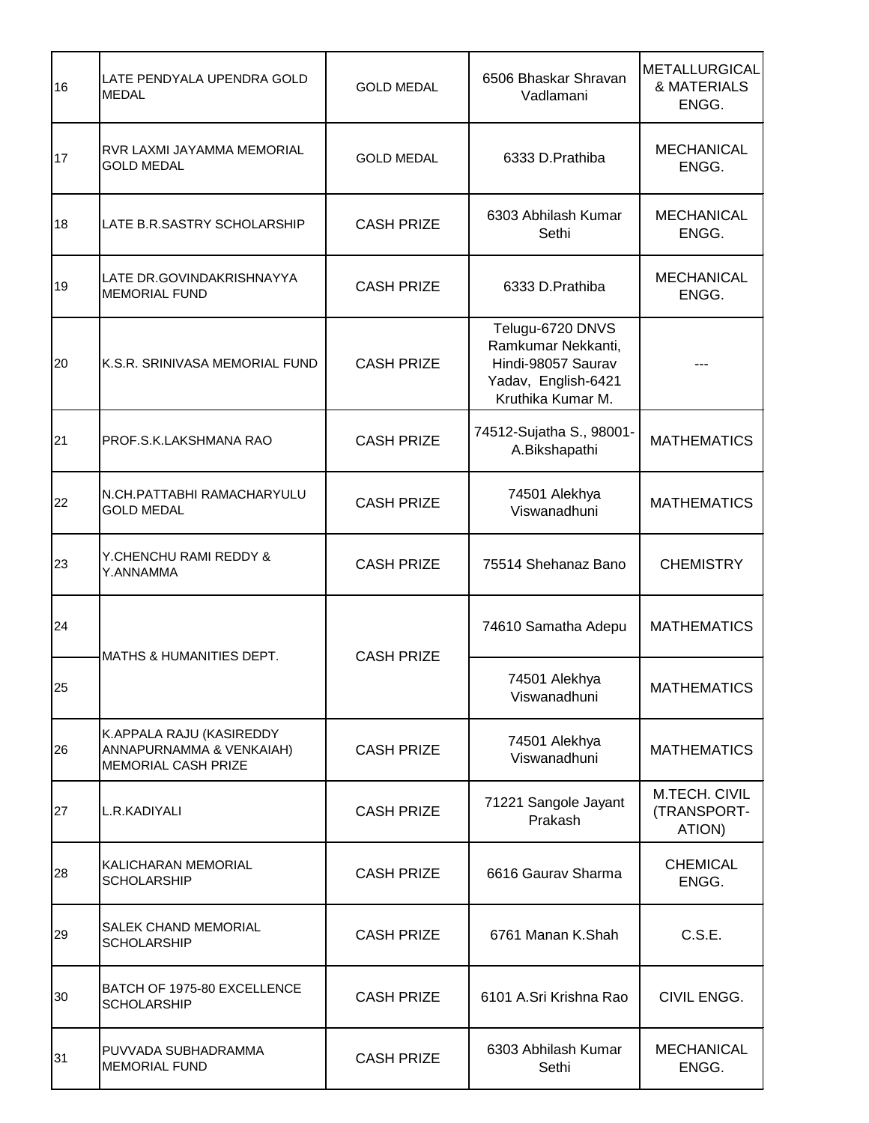| 16 | LATE PENDYALA UPENDRA GOLD<br><b>MEDAL</b>                                         | <b>GOLD MEDAL</b> | 6506 Bhaskar Shravan<br>Vadlamani                                                                        | <b>METALLURGICAL</b><br>& MATERIALS<br>ENGG. |
|----|------------------------------------------------------------------------------------|-------------------|----------------------------------------------------------------------------------------------------------|----------------------------------------------|
| 17 | RVR LAXMI JAYAMMA MEMORIAL<br><b>GOLD MEDAL</b>                                    | <b>GOLD MEDAL</b> | 6333 D. Prathiba                                                                                         | <b>MECHANICAL</b><br>ENGG.                   |
| 18 | LATE B.R.SASTRY SCHOLARSHIP                                                        | <b>CASH PRIZE</b> | 6303 Abhilash Kumar<br>Sethi                                                                             | <b>MECHANICAL</b><br>ENGG.                   |
| 19 | LATE DR.GOVINDAKRISHNAYYA<br><b>MEMORIAL FUND</b>                                  | <b>CASH PRIZE</b> | 6333 D.Prathiba                                                                                          | <b>MECHANICAL</b><br>ENGG.                   |
| 20 | K.S.R. SRINIVASA MEMORIAL FUND                                                     | <b>CASH PRIZE</b> | Telugu-6720 DNVS<br>Ramkumar Nekkanti,<br>Hindi-98057 Saurav<br>Yadav, English-6421<br>Kruthika Kumar M. |                                              |
| 21 | PROF.S.K.LAKSHMANA RAO                                                             | <b>CASH PRIZE</b> | 74512-Sujatha S., 98001-<br>A.Bikshapathi                                                                | <b>MATHEMATICS</b>                           |
| 22 | N.CH.PATTABHI RAMACHARYULU<br><b>GOLD MEDAL</b>                                    | <b>CASH PRIZE</b> | 74501 Alekhya<br>Viswanadhuni                                                                            | <b>MATHEMATICS</b>                           |
| 23 | Y.CHENCHU RAMI REDDY &<br>Y.ANNAMMA                                                | <b>CASH PRIZE</b> | 75514 Shehanaz Bano                                                                                      | <b>CHEMISTRY</b>                             |
| 24 |                                                                                    | <b>CASH PRIZE</b> | 74610 Samatha Adepu                                                                                      | <b>MATHEMATICS</b>                           |
| 25 | <b>MATHS &amp; HUMANITIES DEPT.</b>                                                |                   | 74501 Alekhya<br>Viswanadhuni                                                                            | <b>MATHEMATICS</b>                           |
| 26 | K.APPALA RAJU (KASIREDDY<br>ANNAPURNAMMA & VENKAIAH)<br><b>MEMORIAL CASH PRIZE</b> | <b>CASH PRIZE</b> | 74501 Alekhya<br>Viswanadhuni                                                                            | <b>MATHEMATICS</b>                           |
| 27 | L.R.KADIYALI                                                                       | <b>CASH PRIZE</b> | 71221 Sangole Jayant<br>Prakash                                                                          | M.TECH. CIVIL<br>(TRANSPORT-<br>ATION)       |
| 28 | KALICHARAN MEMORIAL<br><b>SCHOLARSHIP</b>                                          | <b>CASH PRIZE</b> | 6616 Gaurav Sharma                                                                                       | <b>CHEMICAL</b><br>ENGG.                     |
| 29 | SALEK CHAND MEMORIAL<br><b>SCHOLARSHIP</b>                                         | <b>CASH PRIZE</b> | 6761 Manan K.Shah                                                                                        | C.S.E.                                       |
| 30 | BATCH OF 1975-80 EXCELLENCE<br><b>SCHOLARSHIP</b>                                  | <b>CASH PRIZE</b> | 6101 A.Sri Krishna Rao                                                                                   | CIVIL ENGG.                                  |
| 31 | PUVVADA SUBHADRAMMA<br><b>MEMORIAL FUND</b>                                        | <b>CASH PRIZE</b> | 6303 Abhilash Kumar<br>Sethi                                                                             | <b>MECHANICAL</b><br>ENGG.                   |